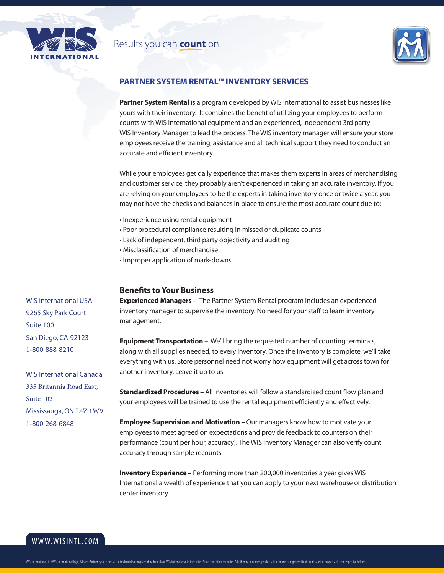

## Results you can count on.



### **PARTNER SYSTEM RENTAL™ INVENTORY SERVICES**

**Partner System Rental** is a program developed by WIS International to assist businesses like yours with their inventory. It combines the benefit of utilizing your employees to perform counts with WIS International equipment and an experienced, independent 3rd party WIS Inventory Manager to lead the process. The WIS inventory manager will ensure your store employees receive the training, assistance and all technical support they need to conduct an accurate and efficient inventory.

While your employees get daily experience that makes them experts in areas of merchandising and customer service, they probably aren't experienced in taking an accurate inventory. If you are relying on your employees to be the experts in taking inventory once or twice a year, you may not have the checks and balances in place to ensure the most accurate count due to:

- Inexperience using rental equipment
- Poor procedural compliance resulting in missed or duplicate counts
- Lack of independent, third party objectivity and auditing
- Misclassification of merchandise
- Improper application of mark-downs

### **Benefits to Your Business**

**Experienced Managers –** The Partner System Rental program includes an experienced inventory manager to supervise the inventory. No need for your staff to learn inventory management.

**Equipment Transportation –** We'll bring the requested number of counting terminals, along with all supplies needed, to every inventory. Once the inventory is complete, we'll take everything with us. Store personnel need not worry how equipment will get across town for another inventory. Leave it up to us!

**Standardized Procedures –** All inventories will follow a standardized count flow plan and your employees will be trained to use the rental equipment efficiently and effectively.

**Employee Supervision and Motivation –** Our managers know how to motivate your employees to meet agreed on expectations and provide feedback to counters on their performance (count per hour, accuracy). The WIS Inventory Manager can also verify count accuracy through sample recounts.

**Inventory Experience –** Performing more than 200,000 inventories a year gives WIS International a wealth of experience that you can apply to your next warehouse or distribution center inventory

WIS International USA 9265 Sky Park Court Suite 100 San Diego, CA 92123 1-800-888-8210

WIS International Canada 335 Britannia Road East, Suite 102 Mississauga, ON L4Z 1W9 1-800-268-6848

www.wisintl.com